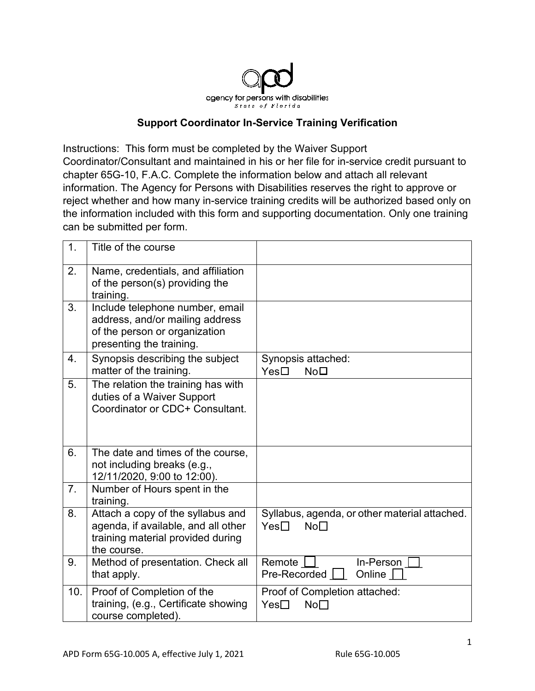

## **Support Coordinator In-Service Training Verification**

Instructions: This form must be completed by the Waiver Support Coordinator/Consultant and maintained in his or her file for in-service credit pursuant to chapter 65G-10, F.A.C. Complete the information below and attach all relevant information. The Agency for Persons with Disabilities reserves the right to approve or reject whether and how many in-service training credits will be authorized based only on the information included with this form and supporting documentation. Only one training can be submitted per form.

| 1.               | Title of the course                                                                                                             |                                                                                |
|------------------|---------------------------------------------------------------------------------------------------------------------------------|--------------------------------------------------------------------------------|
| 2.               | Name, credentials, and affiliation<br>of the person(s) providing the<br>training.                                               |                                                                                |
| 3.               | Include telephone number, email<br>address, and/or mailing address<br>of the person or organization<br>presenting the training. |                                                                                |
| $\overline{4}$ . | Synopsis describing the subject<br>matter of the training.                                                                      | Synopsis attached:<br>Yes <sup>T</sup><br>No <sub>1</sub>                      |
| 5.               | The relation the training has with<br>duties of a Waiver Support<br>Coordinator or CDC+ Consultant.                             |                                                                                |
| 6.               | The date and times of the course,<br>not including breaks (e.g.,<br>12/11/2020, 9:00 to 12:00).                                 |                                                                                |
| 7.               | Number of Hours spent in the<br>training.                                                                                       |                                                                                |
| 8.               | Attach a copy of the syllabus and<br>agenda, if available, and all other<br>training material provided during<br>the course.    | Syllabus, agenda, or other material attached.<br>$Yes \Box$<br>No <sub>1</sub> |
| 9.               | Method of presentation. Check all<br>that apply.                                                                                | In-Person<br>Remote    <br>Online $\Box$<br>$Pre-Reordered$                    |
| 10.              | Proof of Completion of the<br>training, (e.g., Certificate showing<br>course completed).                                        | Proof of Completion attached:<br>Yes <sub>1</sub><br>No <sub>1</sub>           |